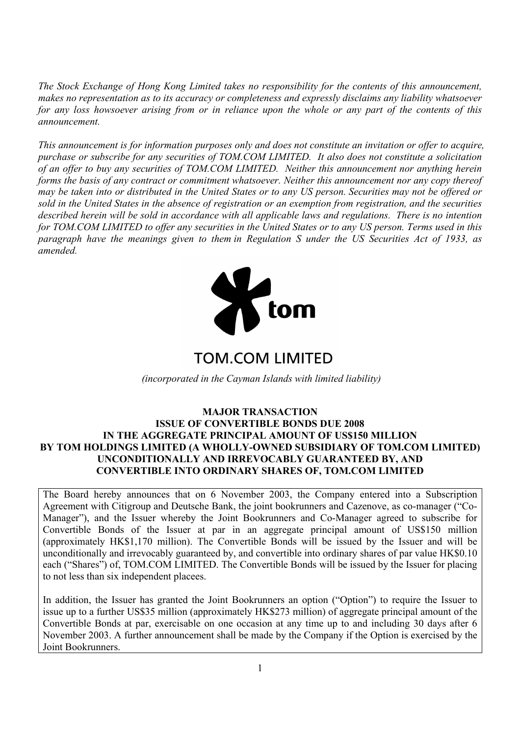*The Stock Exchange of Hong Kong Limited takes no responsibility for the contents of this announcement, makes no representation as to its accuracy or completeness and expressly disclaims any liability whatsoever for any loss howsoever arising from or in reliance upon the whole or any part of the contents of this announcement.* 

*This announcement is for information purposes only and does not constitute an invitation or offer to acquire, purchase or subscribe for any securities of TOM.COM LIMITED. It also does not constitute a solicitation of an offer to buy any securities of TOM.COM LIMITED. Neither this announcement nor anything herein forms the basis of any contract or commitment whatsoever. Neither this announcement nor any copy thereof may be taken into or distributed in the United States or to any US person. Securities may not be offered or sold in the United States in the absence of registration or an exemption from registration, and the securities described herein will be sold in accordance with all applicable laws and regulations. There is no intention for TOM.COM LIMITED to offer any securities in the United States or to any US person. Terms used in this paragraph have the meanings given to them in Regulation S under the US Securities Act of 1933, as amended.*



# **TOM COM LIMITED**

*(incorporated in the Cayman Islands with limited liability)* 

#### **MAJOR TRANSACTION ISSUE OF CONVERTIBLE BONDS DUE 2008 IN THE AGGREGATE PRINCIPAL AMOUNT OF US\$150 MILLION BY TOM HOLDINGS LIMITED (A WHOLLY-OWNED SUBSIDIARY OF TOM.COM LIMITED) UNCONDITIONALLY AND IRREVOCABLY GUARANTEED BY, AND CONVERTIBLE INTO ORDINARY SHARES OF, TOM.COM LIMITED**

The Board hereby announces that on 6 November 2003, the Company entered into a Subscription Agreement with Citigroup and Deutsche Bank, the joint bookrunners and Cazenove, as co-manager ("Co-Manager"), and the Issuer whereby the Joint Bookrunners and Co-Manager agreed to subscribe for Convertible Bonds of the Issuer at par in an aggregate principal amount of US\$150 million (approximately HK\$1,170 million). The Convertible Bonds will be issued by the Issuer and will be unconditionally and irrevocably guaranteed by, and convertible into ordinary shares of par value HK\$0.10 each ("Shares") of, TOM.COM LIMITED. The Convertible Bonds will be issued by the Issuer for placing to not less than six independent placees.

In addition, the Issuer has granted the Joint Bookrunners an option ("Option") to require the Issuer to issue up to a further US\$35 million (approximately HK\$273 million) of aggregate principal amount of the Convertible Bonds at par, exercisable on one occasion at any time up to and including 30 days after 6 November 2003. A further announcement shall be made by the Company if the Option is exercised by the Joint Bookrunners.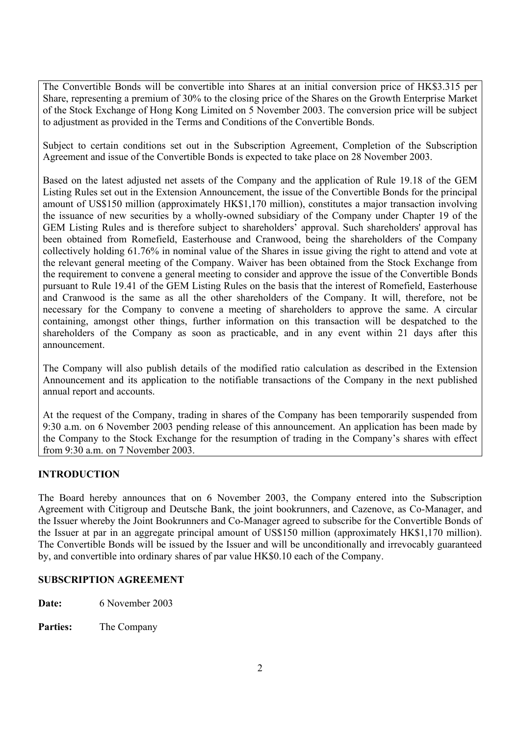The Convertible Bonds will be convertible into Shares at an initial conversion price of HK\$3.315 per Share, representing a premium of 30% to the closing price of the Shares on the Growth Enterprise Market of the Stock Exchange of Hong Kong Limited on 5 November 2003. The conversion price will be subject to adjustment as provided in the Terms and Conditions of the Convertible Bonds.

Subject to certain conditions set out in the Subscription Agreement, Completion of the Subscription Agreement and issue of the Convertible Bonds is expected to take place on 28 November 2003.

Based on the latest adjusted net assets of the Company and the application of Rule 19.18 of the GEM Listing Rules set out in the Extension Announcement, the issue of the Convertible Bonds for the principal amount of US\$150 million (approximately HK\$1,170 million), constitutes a major transaction involving the issuance of new securities by a wholly-owned subsidiary of the Company under Chapter 19 of the GEM Listing Rules and is therefore subject to shareholders' approval. Such shareholders' approval has been obtained from Romefield, Easterhouse and Cranwood, being the shareholders of the Company collectively holding 61.76% in nominal value of the Shares in issue giving the right to attend and vote at the relevant general meeting of the Company. Waiver has been obtained from the Stock Exchange from the requirement to convene a general meeting to consider and approve the issue of the Convertible Bonds pursuant to Rule 19.41 of the GEM Listing Rules on the basis that the interest of Romefield, Easterhouse and Cranwood is the same as all the other shareholders of the Company. It will, therefore, not be necessary for the Company to convene a meeting of shareholders to approve the same. A circular containing, amongst other things, further information on this transaction will be despatched to the shareholders of the Company as soon as practicable, and in any event within 21 days after this announcement.

The Company will also publish details of the modified ratio calculation as described in the Extension Announcement and its application to the notifiable transactions of the Company in the next published annual report and accounts.

At the request of the Company, trading in shares of the Company has been temporarily suspended from 9:30 a.m. on 6 November 2003 pending release of this announcement. An application has been made by the Company to the Stock Exchange for the resumption of trading in the Company's shares with effect from 9:30 a.m. on 7 November 2003.

# **INTRODUCTION**

The Board hereby announces that on 6 November 2003, the Company entered into the Subscription Agreement with Citigroup and Deutsche Bank, the joint bookrunners, and Cazenove, as Co-Manager, and the Issuer whereby the Joint Bookrunners and Co-Manager agreed to subscribe for the Convertible Bonds of the Issuer at par in an aggregate principal amount of US\$150 million (approximately HK\$1,170 million). The Convertible Bonds will be issued by the Issuer and will be unconditionally and irrevocably guaranteed by, and convertible into ordinary shares of par value HK\$0.10 each of the Company.

# **SUBSCRIPTION AGREEMENT**

**Date:** 6 November 2003

**Parties:** The Company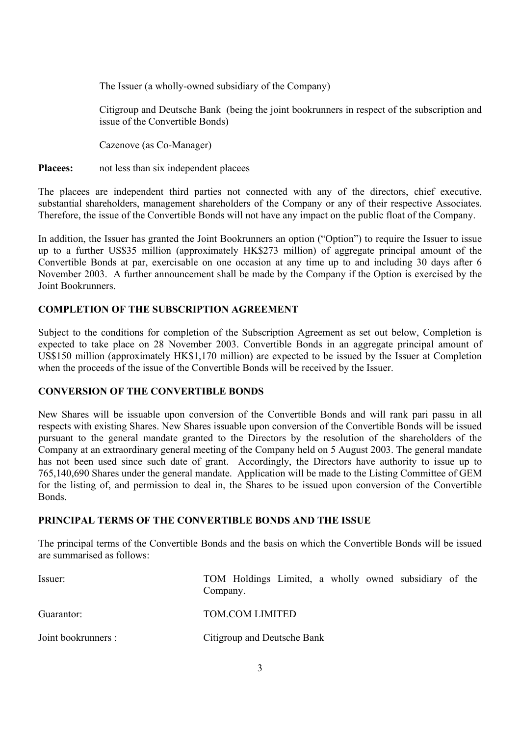The Issuer (a wholly-owned subsidiary of the Company)

Citigroup and Deutsche Bank (being the joint bookrunners in respect of the subscription and issue of the Convertible Bonds)

Cazenove (as Co-Manager)

**Placees:** not less than six independent placees

The placees are independent third parties not connected with any of the directors, chief executive, substantial shareholders, management shareholders of the Company or any of their respective Associates. Therefore, the issue of the Convertible Bonds will not have any impact on the public float of the Company.

In addition, the Issuer has granted the Joint Bookrunners an option ("Option") to require the Issuer to issue up to a further US\$35 million (approximately HK\$273 million) of aggregate principal amount of the Convertible Bonds at par, exercisable on one occasion at any time up to and including 30 days after 6 November 2003. A further announcement shall be made by the Company if the Option is exercised by the Joint Bookrunners.

# **COMPLETION OF THE SUBSCRIPTION AGREEMENT**

Subject to the conditions for completion of the Subscription Agreement as set out below, Completion is expected to take place on 28 November 2003. Convertible Bonds in an aggregate principal amount of US\$150 million (approximately HK\$1,170 million) are expected to be issued by the Issuer at Completion when the proceeds of the issue of the Convertible Bonds will be received by the Issuer.

# **CONVERSION OF THE CONVERTIBLE BONDS**

New Shares will be issuable upon conversion of the Convertible Bonds and will rank pari passu in all respects with existing Shares. New Shares issuable upon conversion of the Convertible Bonds will be issued pursuant to the general mandate granted to the Directors by the resolution of the shareholders of the Company at an extraordinary general meeting of the Company held on 5 August 2003. The general mandate has not been used since such date of grant. Accordingly, the Directors have authority to issue up to 765,140,690 Shares under the general mandate. Application will be made to the Listing Committee of GEM for the listing of, and permission to deal in, the Shares to be issued upon conversion of the Convertible Bonds.

# **PRINCIPAL TERMS OF THE CONVERTIBLE BONDS AND THE ISSUE**

The principal terms of the Convertible Bonds and the basis on which the Convertible Bonds will be issued are summarised as follows:

| Issuer:             | TOM Holdings Limited, a wholly owned subsidiary of the<br>Company. |
|---------------------|--------------------------------------------------------------------|
| Guarantor:          | <b>TOM.COM LIMITED</b>                                             |
| Joint bookrunners : | Citigroup and Deutsche Bank                                        |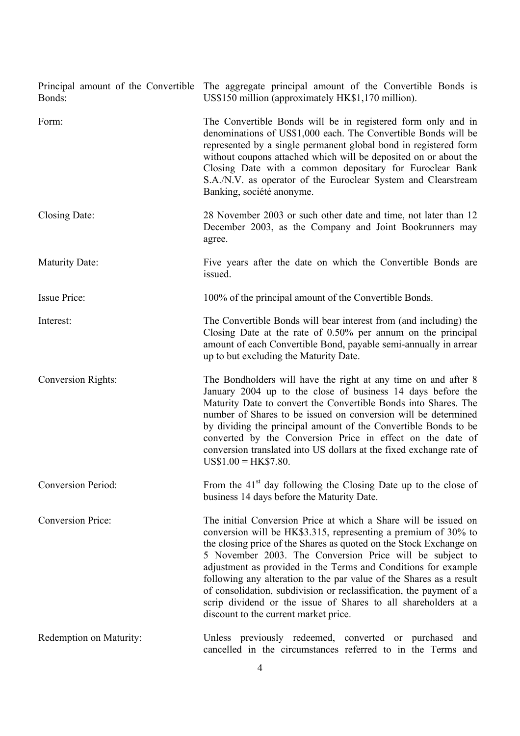| Bonds:                    | Principal amount of the Convertible The aggregate principal amount of the Convertible Bonds is<br>US\$150 million (approximately HK\$1,170 million).                                                                                                                                                                                                                                                                                                                                                                                                                                           |
|---------------------------|------------------------------------------------------------------------------------------------------------------------------------------------------------------------------------------------------------------------------------------------------------------------------------------------------------------------------------------------------------------------------------------------------------------------------------------------------------------------------------------------------------------------------------------------------------------------------------------------|
| Form:                     | The Convertible Bonds will be in registered form only and in<br>denominations of US\$1,000 each. The Convertible Bonds will be<br>represented by a single permanent global bond in registered form<br>without coupons attached which will be deposited on or about the<br>Closing Date with a common depositary for Euroclear Bank<br>S.A./N.V. as operator of the Euroclear System and Clearstream<br>Banking, société anonyme.                                                                                                                                                               |
| Closing Date:             | 28 November 2003 or such other date and time, not later than 12<br>December 2003, as the Company and Joint Bookrunners may<br>agree.                                                                                                                                                                                                                                                                                                                                                                                                                                                           |
| <b>Maturity Date:</b>     | Five years after the date on which the Convertible Bonds are<br>issued.                                                                                                                                                                                                                                                                                                                                                                                                                                                                                                                        |
| <b>Issue Price:</b>       | 100% of the principal amount of the Convertible Bonds.                                                                                                                                                                                                                                                                                                                                                                                                                                                                                                                                         |
| Interest:                 | The Convertible Bonds will bear interest from (and including) the<br>Closing Date at the rate of 0.50% per annum on the principal<br>amount of each Convertible Bond, payable semi-annually in arrear<br>up to but excluding the Maturity Date.                                                                                                                                                                                                                                                                                                                                                |
| <b>Conversion Rights:</b> | The Bondholders will have the right at any time on and after 8<br>January 2004 up to the close of business 14 days before the<br>Maturity Date to convert the Convertible Bonds into Shares. The<br>number of Shares to be issued on conversion will be determined<br>by dividing the principal amount of the Convertible Bonds to be<br>converted by the Conversion Price in effect on the date of<br>conversion translated into US dollars at the fixed exchange rate of<br>$US$1.00 = HK$7.80.$                                                                                             |
| <b>Conversion Period:</b> | From the $41st$ day following the Closing Date up to the close of<br>business 14 days before the Maturity Date.                                                                                                                                                                                                                                                                                                                                                                                                                                                                                |
| <b>Conversion Price:</b>  | The initial Conversion Price at which a Share will be issued on<br>conversion will be HK\$3.315, representing a premium of 30% to<br>the closing price of the Shares as quoted on the Stock Exchange on<br>5 November 2003. The Conversion Price will be subject to<br>adjustment as provided in the Terms and Conditions for example<br>following any alteration to the par value of the Shares as a result<br>of consolidation, subdivision or reclassification, the payment of a<br>scrip dividend or the issue of Shares to all shareholders at a<br>discount to the current market price. |
| Redemption on Maturity:   | Unless previously redeemed, converted or purchased<br>and<br>cancelled in the circumstances referred to in the Terms and                                                                                                                                                                                                                                                                                                                                                                                                                                                                       |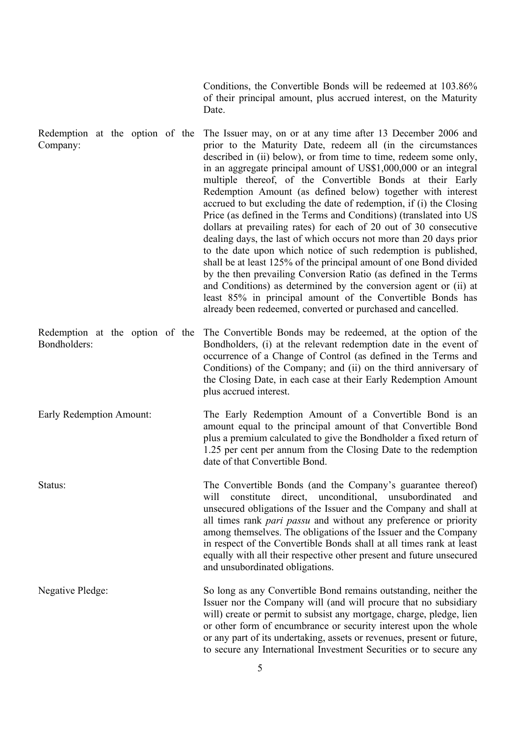Conditions, the Convertible Bonds will be redeemed at 103.86% of their principal amount, plus accrued interest, on the Maturity Date.

Redemption at the option of the Company: The Issuer may, on or at any time after 13 December 2006 and prior to the Maturity Date, redeem all (in the circumstances described in (ii) below), or from time to time, redeem some only, in an aggregate principal amount of US\$1,000,000 or an integral multiple thereof, of the Convertible Bonds at their Early Redemption Amount (as defined below) together with interest accrued to but excluding the date of redemption, if (i) the Closing Price (as defined in the Terms and Conditions) (translated into US dollars at prevailing rates) for each of 20 out of 30 consecutive dealing days, the last of which occurs not more than 20 days prior to the date upon which notice of such redemption is published, shall be at least 125% of the principal amount of one Bond divided by the then prevailing Conversion Ratio (as defined in the Terms and Conditions) as determined by the conversion agent or (ii) at least 85% in principal amount of the Convertible Bonds has already been redeemed, converted or purchased and cancelled.

Redemption at the option of the The Convertible Bonds may be redeemed, at the option of the Bondholders: Bondholders, (i) at the relevant redemption date in the event of occurrence of a Change of Control (as defined in the Terms and Conditions) of the Company; and (ii) on the third anniversary of the Closing Date, in each case at their Early Redemption Amount plus accrued interest.

Early Redemption Amount: The Early Redemption Amount of a Convertible Bond is an amount equal to the principal amount of that Convertible Bond plus a premium calculated to give the Bondholder a fixed return of 1.25 per cent per annum from the Closing Date to the redemption date of that Convertible Bond.

Status: The Convertible Bonds (and the Company's guarantee thereof) will constitute direct, unconditional, unsubordinated and unsecured obligations of the Issuer and the Company and shall at all times rank *pari passu* and without any preference or priority among themselves. The obligations of the Issuer and the Company in respect of the Convertible Bonds shall at all times rank at least equally with all their respective other present and future unsecured and unsubordinated obligations.

Negative Pledge: So long as any Convertible Bond remains outstanding, neither the Issuer nor the Company will (and will procure that no subsidiary will) create or permit to subsist any mortgage, charge, pledge, lien or other form of encumbrance or security interest upon the whole or any part of its undertaking, assets or revenues, present or future, to secure any International Investment Securities or to secure any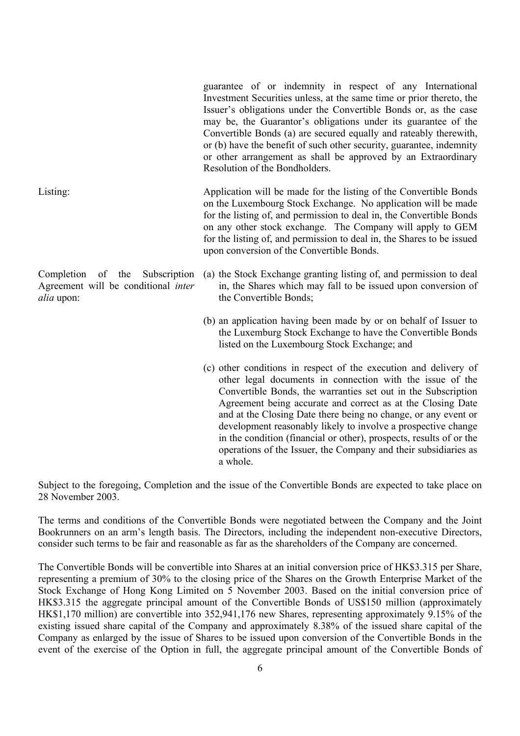guarantee of or indemnity in respect of any International Investment Securities unless, at the same time or prior thereto, the Issuer's obligations under the Convertible Bonds or, as the case may be, the Guarantor's obligations under its guarantee of the Convertible Bonds (a) are secured equally and rateably therewith, or (b) have the benefit of such other security, guarantee, indemnity or other arrangement as shall be approved by an Extraordinary Resolution of the Bondholders.

Listing: Application will be made for the listing of the Convertible Bonds on the Luxembourg Stock Exchange. No application will be made for the listing of, and permission to deal in, the Convertible Bonds on any other stock exchange. The Company will apply to GEM for the listing of, and permission to deal in, the Shares to be issued upon conversion of the Convertible Bonds.

Completion of the Subscription Agreement will be conditional *inter alia* upon:

- (a) the Stock Exchange granting listing of, and permission to deal in, the Shares which may fall to be issued upon conversion of the Convertible Bonds;
- (b) an application having been made by or on behalf of Issuer to the Luxemburg Stock Exchange to have the Convertible Bonds listed on the Luxembourg Stock Exchange; and
- (c) other conditions in respect of the execution and delivery of other legal documents in connection with the issue of the Convertible Bonds, the warranties set out in the Subscription Agreement being accurate and correct as at the Closing Date and at the Closing Date there being no change, or any event or development reasonably likely to involve a prospective change in the condition (financial or other), prospects, results of or the operations of the Issuer, the Company and their subsidiaries as a whole.

Subject to the foregoing, Completion and the issue of the Convertible Bonds are expected to take place on 28 November 2003.

The terms and conditions of the Convertible Bonds were negotiated between the Company and the Joint Bookrunners on an arm's length basis. The Directors, including the independent non-executive Directors, consider such terms to be fair and reasonable as far as the shareholders of the Company are concerned.

The Convertible Bonds will be convertible into Shares at an initial conversion price of HK\$3.315 per Share, representing a premium of 30% to the closing price of the Shares on the Growth Enterprise Market of the Stock Exchange of Hong Kong Limited on 5 November 2003. Based on the initial conversion price of HK\$3.315 the aggregate principal amount of the Convertible Bonds of US\$150 million (approximately HK\$1,170 million) are convertible into 352,941,176 new Shares, representing approximately 9.15% of the existing issued share capital of the Company and approximately 8.38% of the issued share capital of the Company as enlarged by the issue of Shares to be issued upon conversion of the Convertible Bonds in the event of the exercise of the Option in full, the aggregate principal amount of the Convertible Bonds of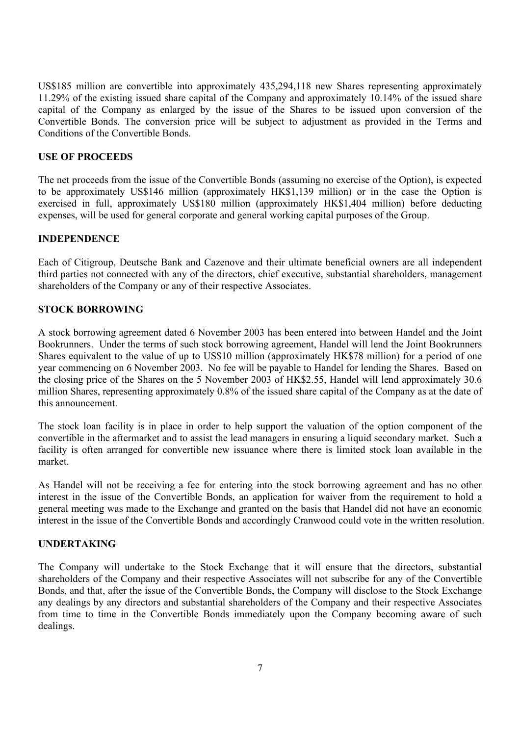US\$185 million are convertible into approximately 435,294,118 new Shares representing approximately 11.29% of the existing issued share capital of the Company and approximately 10.14% of the issued share capital of the Company as enlarged by the issue of the Shares to be issued upon conversion of the Convertible Bonds. The conversion price will be subject to adjustment as provided in the Terms and Conditions of the Convertible Bonds.

### **USE OF PROCEEDS**

The net proceeds from the issue of the Convertible Bonds (assuming no exercise of the Option), is expected to be approximately US\$146 million (approximately HK\$1,139 million) or in the case the Option is exercised in full, approximately US\$180 million (approximately HK\$1,404 million) before deducting expenses, will be used for general corporate and general working capital purposes of the Group.

#### **INDEPENDENCE**

Each of Citigroup, Deutsche Bank and Cazenove and their ultimate beneficial owners are all independent third parties not connected with any of the directors, chief executive, substantial shareholders, management shareholders of the Company or any of their respective Associates.

#### **STOCK BORROWING**

A stock borrowing agreement dated 6 November 2003 has been entered into between Handel and the Joint Bookrunners. Under the terms of such stock borrowing agreement, Handel will lend the Joint Bookrunners Shares equivalent to the value of up to US\$10 million (approximately HK\$78 million) for a period of one year commencing on 6 November 2003. No fee will be payable to Handel for lending the Shares. Based on the closing price of the Shares on the 5 November 2003 of HK\$2.55, Handel will lend approximately 30.6 million Shares, representing approximately 0.8% of the issued share capital of the Company as at the date of this announcement.

The stock loan facility is in place in order to help support the valuation of the option component of the convertible in the aftermarket and to assist the lead managers in ensuring a liquid secondary market. Such a facility is often arranged for convertible new issuance where there is limited stock loan available in the market.

As Handel will not be receiving a fee for entering into the stock borrowing agreement and has no other interest in the issue of the Convertible Bonds, an application for waiver from the requirement to hold a general meeting was made to the Exchange and granted on the basis that Handel did not have an economic interest in the issue of the Convertible Bonds and accordingly Cranwood could vote in the written resolution.

#### **UNDERTAKING**

The Company will undertake to the Stock Exchange that it will ensure that the directors, substantial shareholders of the Company and their respective Associates will not subscribe for any of the Convertible Bonds, and that, after the issue of the Convertible Bonds, the Company will disclose to the Stock Exchange any dealings by any directors and substantial shareholders of the Company and their respective Associates from time to time in the Convertible Bonds immediately upon the Company becoming aware of such dealings.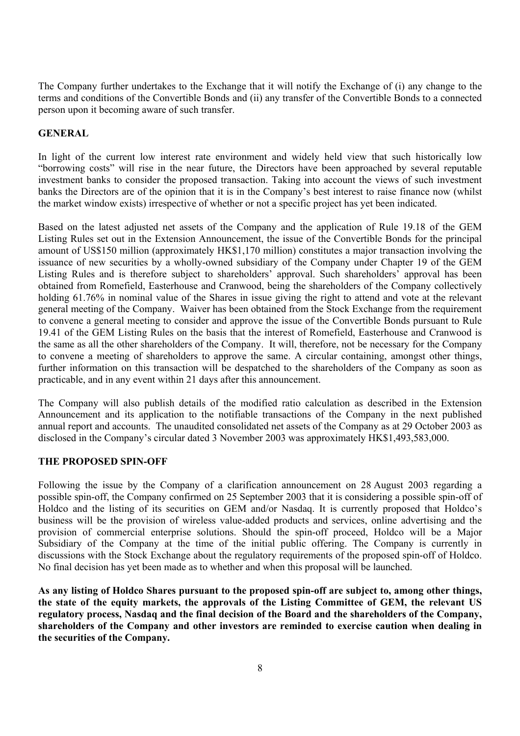The Company further undertakes to the Exchange that it will notify the Exchange of (i) any change to the terms and conditions of the Convertible Bonds and (ii) any transfer of the Convertible Bonds to a connected person upon it becoming aware of such transfer.

# **GENERAL**

In light of the current low interest rate environment and widely held view that such historically low "borrowing costs" will rise in the near future, the Directors have been approached by several reputable investment banks to consider the proposed transaction. Taking into account the views of such investment banks the Directors are of the opinion that it is in the Company's best interest to raise finance now (whilst the market window exists) irrespective of whether or not a specific project has yet been indicated.

Based on the latest adjusted net assets of the Company and the application of Rule 19.18 of the GEM Listing Rules set out in the Extension Announcement, the issue of the Convertible Bonds for the principal amount of US\$150 million (approximately HK\$1,170 million) constitutes a major transaction involving the issuance of new securities by a wholly-owned subsidiary of the Company under Chapter 19 of the GEM Listing Rules and is therefore subject to shareholders' approval. Such shareholders' approval has been obtained from Romefield, Easterhouse and Cranwood, being the shareholders of the Company collectively holding 61.76% in nominal value of the Shares in issue giving the right to attend and vote at the relevant general meeting of the Company. Waiver has been obtained from the Stock Exchange from the requirement to convene a general meeting to consider and approve the issue of the Convertible Bonds pursuant to Rule 19.41 of the GEM Listing Rules on the basis that the interest of Romefield, Easterhouse and Cranwood is the same as all the other shareholders of the Company. It will, therefore, not be necessary for the Company to convene a meeting of shareholders to approve the same. A circular containing, amongst other things, further information on this transaction will be despatched to the shareholders of the Company as soon as practicable, and in any event within 21 days after this announcement.

The Company will also publish details of the modified ratio calculation as described in the Extension Announcement and its application to the notifiable transactions of the Company in the next published annual report and accounts. The unaudited consolidated net assets of the Company as at 29 October 2003 as disclosed in the Company's circular dated 3 November 2003 was approximately HK\$1,493,583,000.

# **THE PROPOSED SPIN-OFF**

Following the issue by the Company of a clarification announcement on 28 August 2003 regarding a possible spin-off, the Company confirmed on 25 September 2003 that it is considering a possible spin-off of Holdco and the listing of its securities on GEM and/or Nasdaq. It is currently proposed that Holdco's business will be the provision of wireless value-added products and services, online advertising and the provision of commercial enterprise solutions. Should the spin-off proceed, Holdco will be a Major Subsidiary of the Company at the time of the initial public offering. The Company is currently in discussions with the Stock Exchange about the regulatory requirements of the proposed spin-off of Holdco. No final decision has yet been made as to whether and when this proposal will be launched.

**As any listing of Holdco Shares pursuant to the proposed spin-off are subject to, among other things, the state of the equity markets, the approvals of the Listing Committee of GEM, the relevant US regulatory process, Nasdaq and the final decision of the Board and the shareholders of the Company, shareholders of the Company and other investors are reminded to exercise caution when dealing in the securities of the Company.**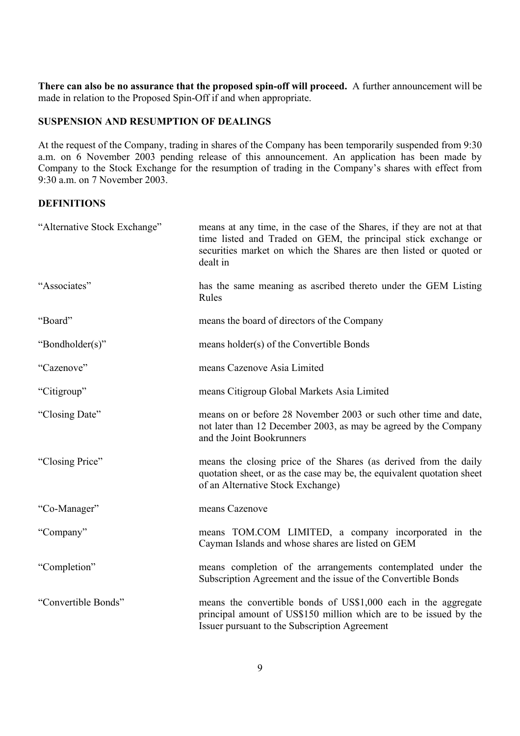**There can also be no assurance that the proposed spin-off will proceed.** A further announcement will be made in relation to the Proposed Spin-Off if and when appropriate.

### **SUSPENSION AND RESUMPTION OF DEALINGS**

At the request of the Company, trading in shares of the Company has been temporarily suspended from 9:30 a.m. on 6 November 2003 pending release of this announcement. An application has been made by Company to the Stock Exchange for the resumption of trading in the Company's shares with effect from 9:30 a.m. on 7 November 2003.

#### **DEFINITIONS**

| "Alternative Stock Exchange" | means at any time, in the case of the Shares, if they are not at that<br>time listed and Traded on GEM, the principal stick exchange or<br>securities market on which the Shares are then listed or quoted or<br>dealt in |
|------------------------------|---------------------------------------------------------------------------------------------------------------------------------------------------------------------------------------------------------------------------|
| "Associates"                 | has the same meaning as ascribed thereto under the GEM Listing<br>Rules                                                                                                                                                   |
| "Board"                      | means the board of directors of the Company                                                                                                                                                                               |
| "Bondholder(s)"              | means holder(s) of the Convertible Bonds                                                                                                                                                                                  |
| "Cazenove"                   | means Cazenove Asia Limited                                                                                                                                                                                               |
| "Citigroup"                  | means Citigroup Global Markets Asia Limited                                                                                                                                                                               |
| "Closing Date"               | means on or before 28 November 2003 or such other time and date,<br>not later than 12 December 2003, as may be agreed by the Company<br>and the Joint Bookrunners                                                         |
| "Closing Price"              | means the closing price of the Shares (as derived from the daily<br>quotation sheet, or as the case may be, the equivalent quotation sheet<br>of an Alternative Stock Exchange)                                           |
| "Co-Manager"                 | means Cazenove                                                                                                                                                                                                            |
| "Company"                    | means TOM.COM LIMITED, a company incorporated in the<br>Cayman Islands and whose shares are listed on GEM                                                                                                                 |
| "Completion"                 | means completion of the arrangements contemplated under the<br>Subscription Agreement and the issue of the Convertible Bonds                                                                                              |
| "Convertible Bonds"          | means the convertible bonds of US\$1,000 each in the aggregate<br>principal amount of US\$150 million which are to be issued by the<br>Issuer pursuant to the Subscription Agreement                                      |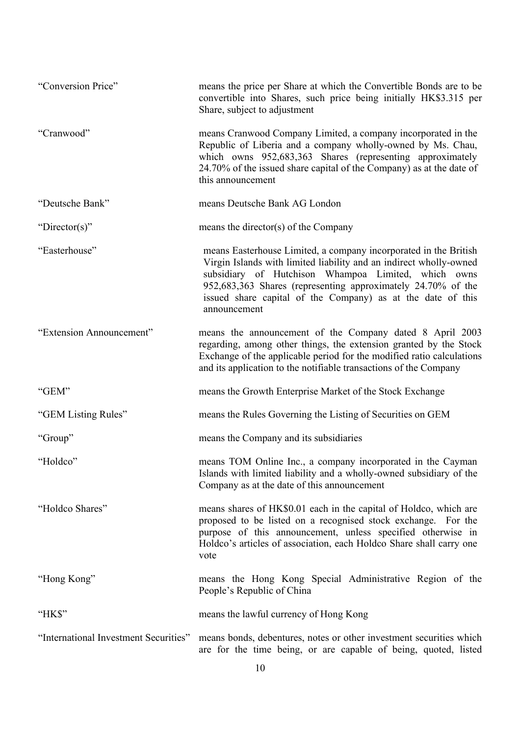| "Conversion Price"                    | means the price per Share at which the Convertible Bonds are to be<br>convertible into Shares, such price being initially HK\$3.315 per<br>Share, subject to adjustment                                                                                                                                                                      |
|---------------------------------------|----------------------------------------------------------------------------------------------------------------------------------------------------------------------------------------------------------------------------------------------------------------------------------------------------------------------------------------------|
| "Cranwood"                            | means Cranwood Company Limited, a company incorporated in the<br>Republic of Liberia and a company wholly-owned by Ms. Chau,<br>which owns 952,683,363 Shares (representing approximately<br>24.70% of the issued share capital of the Company) as at the date of<br>this announcement                                                       |
| "Deutsche Bank"                       | means Deutsche Bank AG London                                                                                                                                                                                                                                                                                                                |
| "Director(s)"                         | means the director(s) of the Company                                                                                                                                                                                                                                                                                                         |
| "Easterhouse"                         | means Easterhouse Limited, a company incorporated in the British<br>Virgin Islands with limited liability and an indirect wholly-owned<br>subsidiary of Hutchison Whampoa Limited, which owns<br>952,683,363 Shares (representing approximately 24.70% of the<br>issued share capital of the Company) as at the date of this<br>announcement |
| "Extension Announcement"              | means the announcement of the Company dated 8 April 2003<br>regarding, among other things, the extension granted by the Stock<br>Exchange of the applicable period for the modified ratio calculations<br>and its application to the notifiable transactions of the Company                                                                  |
| "GEM"                                 | means the Growth Enterprise Market of the Stock Exchange                                                                                                                                                                                                                                                                                     |
| "GEM Listing Rules"                   | means the Rules Governing the Listing of Securities on GEM                                                                                                                                                                                                                                                                                   |
| "Group"                               | means the Company and its subsidiaries                                                                                                                                                                                                                                                                                                       |
| "Holdco"                              | means TOM Online Inc., a company incorporated in the Cayman<br>Islands with limited liability and a wholly-owned subsidiary of the<br>Company as at the date of this announcement                                                                                                                                                            |
| "Holdco Shares"                       | means shares of HK\$0.01 each in the capital of Holdco, which are<br>proposed to be listed on a recognised stock exchange. For the<br>purpose of this announcement, unless specified otherwise in<br>Holdco's articles of association, each Holdco Share shall carry one<br>vote                                                             |
| "Hong Kong"                           | means the Hong Kong Special Administrative Region of the<br>People's Republic of China                                                                                                                                                                                                                                                       |
| "HK\$"                                | means the lawful currency of Hong Kong                                                                                                                                                                                                                                                                                                       |
| "International Investment Securities" | means bonds, debentures, notes or other investment securities which<br>are for the time being, or are capable of being, quoted, listed                                                                                                                                                                                                       |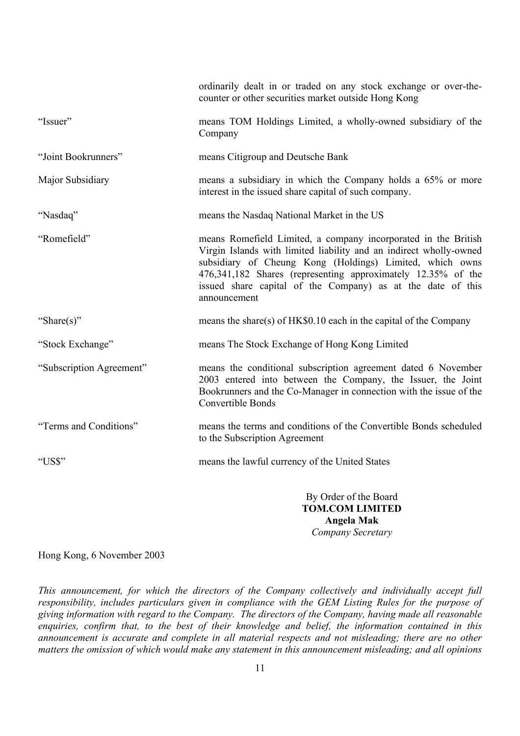|                          | ordinarily dealt in or traded on any stock exchange or over-the-<br>counter or other securities market outside Hong Kong                                                                                                                                                                                                                        |
|--------------------------|-------------------------------------------------------------------------------------------------------------------------------------------------------------------------------------------------------------------------------------------------------------------------------------------------------------------------------------------------|
| "Issuer"                 | means TOM Holdings Limited, a wholly-owned subsidiary of the<br>Company                                                                                                                                                                                                                                                                         |
| "Joint Bookrunners"      | means Citigroup and Deutsche Bank                                                                                                                                                                                                                                                                                                               |
| Major Subsidiary         | means a subsidiary in which the Company holds a 65% or more<br>interest in the issued share capital of such company.                                                                                                                                                                                                                            |
| "Nasdaq"                 | means the Nasdaq National Market in the US                                                                                                                                                                                                                                                                                                      |
| "Romefield"              | means Romefield Limited, a company incorporated in the British<br>Virgin Islands with limited liability and an indirect wholly-owned<br>subsidiary of Cheung Kong (Holdings) Limited, which owns<br>476,341,182 Shares (representing approximately 12.35% of the<br>issued share capital of the Company) as at the date of this<br>announcement |
| "Share(s)"               | means the share(s) of $HK\$0.10$ each in the capital of the Company                                                                                                                                                                                                                                                                             |
| "Stock Exchange"         | means The Stock Exchange of Hong Kong Limited                                                                                                                                                                                                                                                                                                   |
| "Subscription Agreement" | means the conditional subscription agreement dated 6 November<br>2003 entered into between the Company, the Issuer, the Joint<br>Bookrunners and the Co-Manager in connection with the issue of the<br>Convertible Bonds                                                                                                                        |
| "Terms and Conditions"   | means the terms and conditions of the Convertible Bonds scheduled<br>to the Subscription Agreement                                                                                                                                                                                                                                              |
| "US\$"                   | means the lawful currency of the United States                                                                                                                                                                                                                                                                                                  |
|                          | By Order of the Board<br><b>TOM.COM LIMITED</b>                                                                                                                                                                                                                                                                                                 |

**TOM.COM LIMITED Angela Mak**  *Company Secretary* 

Hong Kong, 6 November 2003

*This announcement, for which the directors of the Company collectively and individually accept full responsibility, includes particulars given in compliance with the GEM Listing Rules for the purpose of giving information with regard to the Company. The directors of the Company, having made all reasonable enquiries, confirm that, to the best of their knowledge and belief, the information contained in this*  announcement is accurate and complete in all material respects and not misleading; there are no other *matters the omission of which would make any statement in this announcement misleading; and all opinions*